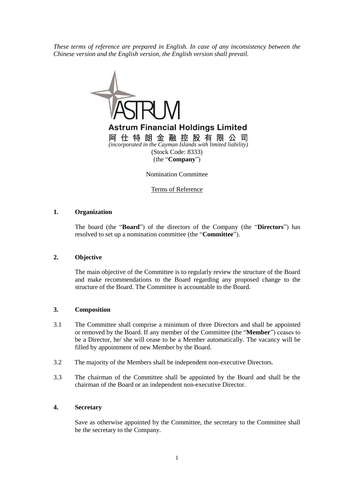*These terms of reference are prepared in English. In case of any inconsistency between the Chinese version and the English version, the English version shall prevail.*



Terms of Reference

### **1. Organization**

The board (the "**Board**") of the directors of the Company (the "**Directors**") has resolved to set up a nomination committee (the "**Committee**").

#### **2. Objective**

The main objective of the Committee is to regularly review the structure of the Board and make recommendations to the Board regarding any proposed change to the structure of the Board. The Committee is accountable to the Board.

#### **3. Composition**

- 3.1 The Committee shall comprise a minimum of three Directors and shall be appointed or removed by the Board. If any member of the Committee (the "**Member**") ceases to be a Director, he/ she will cease to be a Member automatically. The vacancy will be filled by appointment of new Member by the Board.
- 3.2 The majority of the Members shall be independent non-executive Directors.
- 3.3 The chairman of the Committee shall be appointed by the Board and shall be the chairman of the Board or an independent non-executive Director.

# **4. Secretary**

Save as otherwise appointed by the Committee, the secretary to the Committee shall be the secretary to the Company.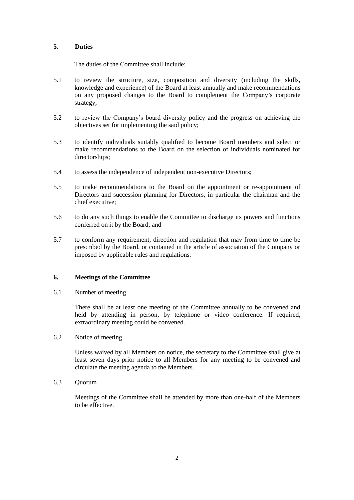# **5. Duties**

The duties of the Committee shall include:

- 5.1 to review the structure, size, composition and diversity (including the skills, knowledge and experience) of the Board at least annually and make recommendations on any proposed changes to the Board to complement the Company's corporate strategy;
- 5.2 to review the Company's board diversity policy and the progress on achieving the objectives set for implementing the said policy;
- 5.3 to identify individuals suitably qualified to become Board members and select or make recommendations to the Board on the selection of individuals nominated for directorships;
- 5.4 to assess the independence of independent non-executive Directors;
- 5.5 to make recommendations to the Board on the appointment or re-appointment of Directors and succession planning for Directors, in particular the chairman and the chief executive;
- 5.6 to do any such things to enable the Committee to discharge its powers and functions conferred on it by the Board; and
- 5.7 to conform any requirement, direction and regulation that may from time to time be prescribed by the Board, or contained in the article of association of the Company or imposed by applicable rules and regulations.

## **6. Meetings of the Committee**

6.1 Number of meeting

There shall be at least one meeting of the Committee annually to be convened and held by attending in person, by telephone or video conference. If required, extraordinary meeting could be convened.

6.2 Notice of meeting

Unless waived by all Members on notice, the secretary to the Committee shall give at least seven days prior notice to all Members for any meeting to be convened and circulate the meeting agenda to the Members.

6.3 Quorum

Meetings of the Committee shall be attended by more than one-half of the Members to be effective.